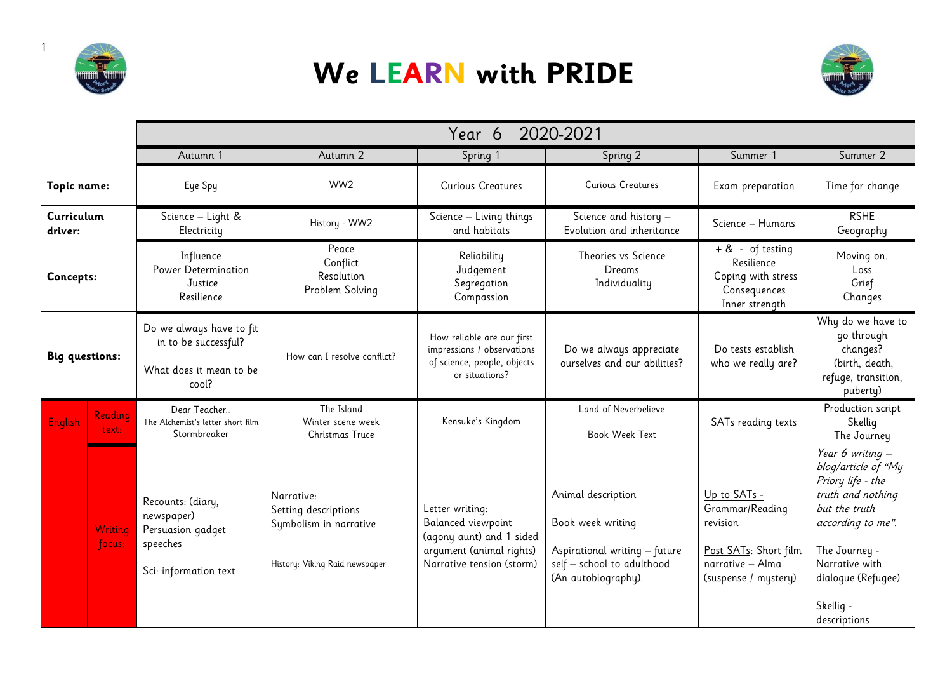

1

## **We LEARN with PRIDE**



|                       |                   | 2020-2021<br>Year 6                                                                       |                                                                                                |                                                                                                                            |                                                                                                                                |                                                                                                                  |                                                                                                                                                                                                               |
|-----------------------|-------------------|-------------------------------------------------------------------------------------------|------------------------------------------------------------------------------------------------|----------------------------------------------------------------------------------------------------------------------------|--------------------------------------------------------------------------------------------------------------------------------|------------------------------------------------------------------------------------------------------------------|---------------------------------------------------------------------------------------------------------------------------------------------------------------------------------------------------------------|
|                       |                   | Autumn 1                                                                                  | Autumn 2                                                                                       | Spring 1                                                                                                                   | Spring 2                                                                                                                       | Summer 1                                                                                                         | Summer 2                                                                                                                                                                                                      |
| Topic name:           |                   | Eye Spy                                                                                   | WW <sub>2</sub>                                                                                | <b>Curious Creatures</b>                                                                                                   | <b>Curious Creatures</b>                                                                                                       | Exam preparation                                                                                                 | Time for change                                                                                                                                                                                               |
| Curriculum<br>driver: |                   | Science - Light &<br>Electricity                                                          | History - WW2                                                                                  | Science - Living things<br>and habitats                                                                                    | Science and history -<br>Evolution and inheritance                                                                             | Science - Humans                                                                                                 | <b>RSHE</b><br>Geography                                                                                                                                                                                      |
| Concepts:             |                   | Influence<br>Power Determination<br>Justice<br>Resilience                                 | Peace<br>Conflict<br>Resolution<br>Problem Solving                                             | Reliability<br>Judgement<br>Segregation<br>Compassion                                                                      | Theories vs Science<br>Dreams<br>Individuality                                                                                 | $+ 8 - of testing$<br>Resilience<br>Coping with stress<br>Consequences<br>Inner strength                         | Moving on.<br>Loss<br>Grief<br>Changes                                                                                                                                                                        |
| <b>Big questions:</b> |                   | Do we always have to fit<br>in to be successful?<br>What does it mean to be<br>cool?      | How can I resolve conflict?                                                                    | How reliable are our first<br>impressions / observations<br>of science, people, objects<br>or situations?                  | Do we always appreciate<br>ourselves and our abilities?                                                                        | Do tests establish<br>who we really are?                                                                         | Why do we have to<br>go through<br>changes?<br>(birth, death,<br>refuge, transition,<br>puberty)                                                                                                              |
| English               | Reading<br>text:  | Dear Teacher<br>The Alchemist's letter short film<br>Stormbreaker                         | The Island<br>Winter scene week<br>Christmas Truce                                             | Kensuke's Kingdom                                                                                                          | Land of Neverbelieve<br><b>Book Week Text</b>                                                                                  | SATs reading texts                                                                                               | Production script<br>Skellig<br>The Journey                                                                                                                                                                   |
|                       | Writing<br>focus: | Recounts: (diary,<br>newspaper)<br>Persuasion gadget<br>speeches<br>Sci: information text | Narrative:<br>Setting descriptions<br>Symbolism in narrative<br>History: Viking Raid newspaper | Letter writing:<br>Balanced viewpoint<br>(agony aunt) and 1 sided<br>argument (animal rights)<br>Narrative tension (storm) | Animal description<br>Book week writing<br>Aspirational writing - future<br>self - school to adulthood.<br>(An autobiography). | Up to SATs -<br>Grammar/Reading<br>revision<br>Post SATs: Short film<br>narrative - Alma<br>(suspense / mystery) | Year 6 writing -<br>blog/article of "My<br>Priory life - the<br>truth and nothing<br>but the truth<br>according to me".<br>The Journey -<br>Narrative with<br>dialoque (Refugee)<br>Skellig -<br>descriptions |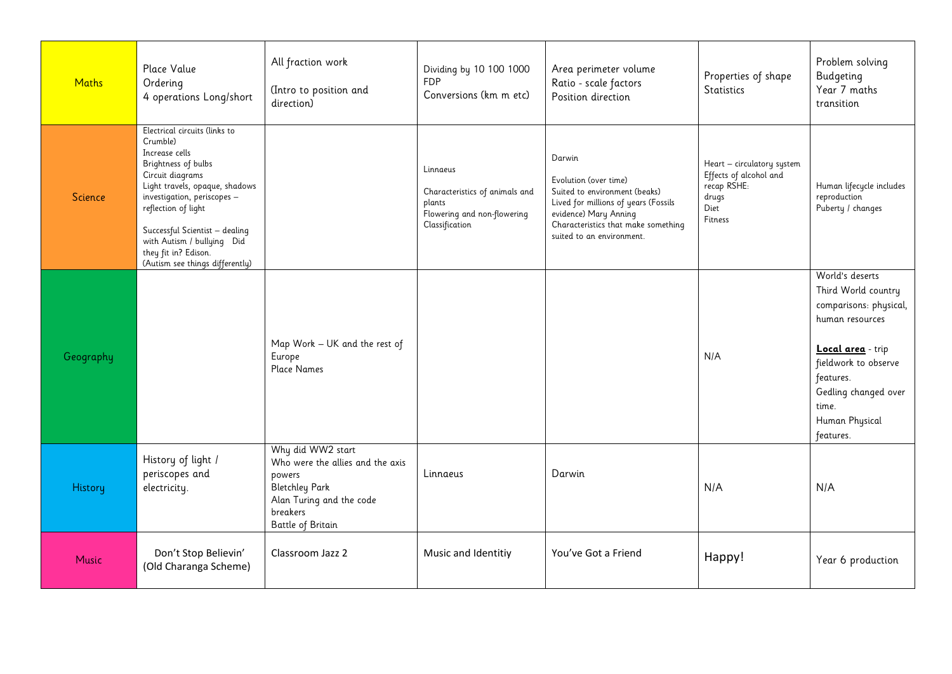| <b>Maths</b> | Place Value<br>Ordering<br>4 operations Long/short                                                                                                                                                                                                                                                                        | All fraction work<br>(Intro to position and<br>direction)                                                                                             | Dividing by 10 100 1000<br><b>FDP</b><br>Conversions (km m etc)                                       | Area perimeter volume<br>Ratio - scale factors<br>Position direction                                                                                                                                  | Properties of shape<br><b>Statistics</b>                                                        | Problem solving<br>Budgeting<br>Year 7 maths<br>transition                                                                                                                                                    |
|--------------|---------------------------------------------------------------------------------------------------------------------------------------------------------------------------------------------------------------------------------------------------------------------------------------------------------------------------|-------------------------------------------------------------------------------------------------------------------------------------------------------|-------------------------------------------------------------------------------------------------------|-------------------------------------------------------------------------------------------------------------------------------------------------------------------------------------------------------|-------------------------------------------------------------------------------------------------|---------------------------------------------------------------------------------------------------------------------------------------------------------------------------------------------------------------|
| Science      | Electrical circuits (links to<br>Crumble)<br>Increase cells<br>Brightness of bulbs<br>Circuit diagrams<br>Light travels, opaque, shadows<br>investigation, periscopes -<br>reflection of light<br>Successful Scientist - dealing<br>with Autism / bullying Did<br>they fit in? Edison.<br>(Autism see things differently) |                                                                                                                                                       | Linnaeus<br>Characteristics of animals and<br>plants<br>Flowering and non-flowering<br>Classification | Darwin<br>Evolution (over time)<br>Suited to environment (beaks)<br>Lived for millions of years (Fossils<br>evidence) Mary Anning<br>Characteristics that make something<br>suited to an environment. | Heart - circulatory system<br>Effects of alcohol and<br>recap RSHE:<br>drugs<br>Diet<br>Fitness | Human lifecycle includes<br>reproduction<br>Puberty / changes                                                                                                                                                 |
| Geography    |                                                                                                                                                                                                                                                                                                                           | Map Work - UK and the rest of<br>Europe<br><b>Place Names</b>                                                                                         |                                                                                                       |                                                                                                                                                                                                       | N/A                                                                                             | World's deserts<br>Third World country<br>comparisons: physical,<br>human resources<br>Local area - trip<br>fieldwork to observe<br>features.<br>Gedling changed over<br>time.<br>Human Physical<br>features. |
| History      | History of light /<br>periscopes and<br>electricity.                                                                                                                                                                                                                                                                      | Why did WW2 start<br>Who were the allies and the axis<br>powers<br><b>Bletchley Park</b><br>Alan Turing and the code<br>breakers<br>Battle of Britain | Linnaeus                                                                                              | Darwin                                                                                                                                                                                                | N/A                                                                                             | N/A                                                                                                                                                                                                           |
| Music        | Don't Stop Believin'<br>(Old Charanga Scheme)                                                                                                                                                                                                                                                                             | Classroom Jazz 2                                                                                                                                      | Music and Identitiy                                                                                   | You've Got a Friend                                                                                                                                                                                   | Happy!                                                                                          | Year 6 production                                                                                                                                                                                             |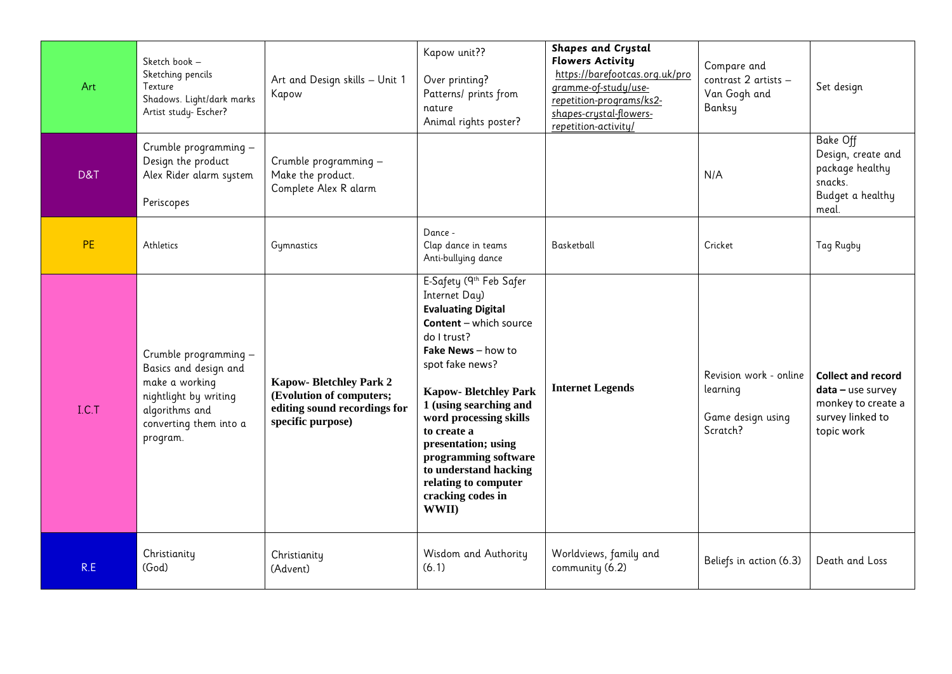| Art       | Sketch book -<br>Sketching pencils<br>Texture<br>Shadows. Light/dark marks<br>Artist study- Escher?                                               | Art and Design skills - Unit 1<br>Kapow                                                                        | Kapow unit??<br>Over printing?<br>Patterns/ prints from<br>nature<br>Animal rights poster?                                                                                                                                                                                                                                                                                                      | <b>Shapes and Crystal</b><br><b>Flowers Activity</b><br>https://barefootcas.org.uk/pro<br>gramme-of-study/use-<br>repetition-programs/ks2-<br>shapes-crystal-flowers-<br>repetition-activity/ | Compare and<br>contrast 2 artists -<br>Van Gogh and<br>Banksy       | Set design                                                                                               |
|-----------|---------------------------------------------------------------------------------------------------------------------------------------------------|----------------------------------------------------------------------------------------------------------------|-------------------------------------------------------------------------------------------------------------------------------------------------------------------------------------------------------------------------------------------------------------------------------------------------------------------------------------------------------------------------------------------------|-----------------------------------------------------------------------------------------------------------------------------------------------------------------------------------------------|---------------------------------------------------------------------|----------------------------------------------------------------------------------------------------------|
| D&T       | Crumble programming -<br>Design the product<br>Alex Rider alarm system<br>Periscopes                                                              | Crumble programming -<br>Make the product.<br>Complete Alex R alarm                                            |                                                                                                                                                                                                                                                                                                                                                                                                 |                                                                                                                                                                                               | N/A                                                                 | <b>Bake Off</b><br>Design, create and<br>package healthy<br>snacks.<br>Budget a healthy<br>meal.         |
| <b>PE</b> | Athletics                                                                                                                                         | Gymnastics                                                                                                     | Dance -<br>Clap dance in teams<br>Anti-bullying dance                                                                                                                                                                                                                                                                                                                                           | Basketball                                                                                                                                                                                    | Cricket                                                             | Tag Rugby                                                                                                |
| I.C.T     | Crumble programming -<br>Basics and design and<br>make a working<br>nightlight by writing<br>algorithms and<br>converting them into a<br>program. | <b>Kapow-Bletchley Park 2</b><br>(Evolution of computers;<br>editing sound recordings for<br>specific purpose) | E-Safety (9th Feb Safer<br>Internet Day)<br><b>Evaluating Digital</b><br>Content - which source<br>do I trust?<br>Fake News - how to<br>spot fake news?<br><b>Kapow-Bletchley Park</b><br>1 (using searching and<br>word processing skills<br>to create a<br>presentation; using<br>programming software<br>to understand hacking<br>relating to computer<br>cracking codes in<br><b>WWII</b> ) | <b>Internet Legends</b>                                                                                                                                                                       | Revision work - online<br>learning<br>Game design using<br>Scratch? | <b>Collect and record</b><br>$data - use survey$<br>monkey to create a<br>survey linked to<br>topic work |
| R.E       | Christianity<br>(God)                                                                                                                             | Christianity<br>(Advent)                                                                                       | Wisdom and Authority<br>(6.1)                                                                                                                                                                                                                                                                                                                                                                   | Worldviews, family and<br>community (6.2)                                                                                                                                                     | Beliefs in action (6.3)                                             | Death and Loss                                                                                           |